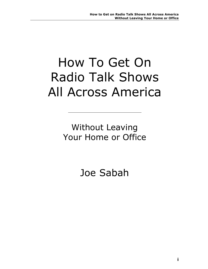# How To Get On Radio Talk Shows All Across America

Without Leaving Your Home or Office

Joe Sabah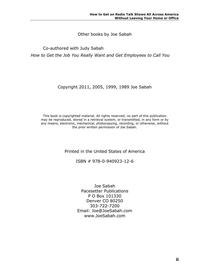Other books by Joe Sabah

Co-authored with Judy Sabah

*How to Get the Job You Really Want and Get Employees to Call You*

#### Copyright 2011, 2005, 1999, 1989 Joe Sabah

This book is copyrighted material. All rights reserved; no part of this publication may be reproduced, stored in a retrieval system, or transmitted, in any form or by any means, electronic, mechanical, photocopying, recording, or otherwise, without the prior written permission of Joe Sabah.

Printed in the United States of America

#### ISBN # 978-0-940923-12-6

Joe Sabah Pacesetter Publications P O Box 101330 Denver CO 80250 303-722-7200 Email: Joe@JoeSabah.com www.JoeSabah.com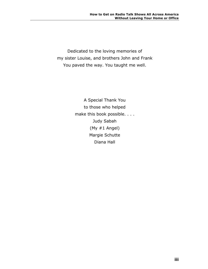Dedicated to the loving memories of my sister Louise, and brothers John and Frank You paved the way. You taught me well.

> A Special Thank You to those who helped make this book possible. . . . Judy Sabah (My #1 Angel) Margie Schutte Diana Hall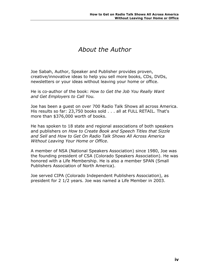### *About the Author*

Joe Sabah, Author, Speaker and Publisher provides proven, creative/innovative ideas to help you sell more books, CDs, DVDs, newsletters or your ideas without leaving your home or office.

He is co-author of the book: *How to Get the Job You Really Want and Get Employers to Call You.*

Joe has been a guest on over 700 Radio Talk Shows all across America. His results so far: 23,750 books sold . . . all at FULL RETAIL. That's more than \$376,000 worth of books.

He has spoken to 18 state and regional associations of both speakers and publishers on *How to Create Book and Speech Titles that Sizzle and Sell* and *How to Get On Radio Talk Shows All Across America Without Leaving Your Home or Office*.

A member of NSA (National Speakers Association) since 1980, Joe was the founding president of CSA (Colorado Speakers Association). He was honored with a Life Membership. He is also a member SPAN (Small Publishers Association of North America).

Joe served CIPA (Colorado Independent Publishers Association), as president for 2 1/2 years. Joe was named a Life Member in 2003.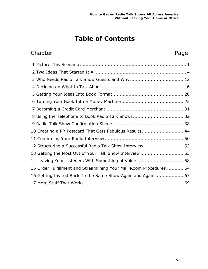# **Table of Contents**

### Chapter **Chapter** Page

| 8 Using the Telephone to Book Radio Talk Shows 32                   |  |
|---------------------------------------------------------------------|--|
|                                                                     |  |
| 10 Creating a PR Postcard That Gets Fabulous Results 44             |  |
|                                                                     |  |
| 12 Structuring a Successful Radio Talk Show Interview 53            |  |
| 13 Getting the Most Out of Your Talk Show Interview  55             |  |
| 14 Leaving Your Listeners With Something of Value  58               |  |
| 15 Order Fulfillment and Streamlining Your Mail Room Procedures  64 |  |
| 16 Getting Invited Back To the Same Show Again and Again  67        |  |
|                                                                     |  |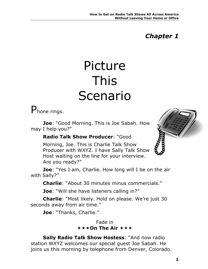### *Chapter 1*

# Picture This Scenario

# Phone rings.

**Joe**: "Good Morning. This is Joe Sabah. How may I help you?"

### **Radio Talk Show Producer**: "Good

Morning, Joe. This is Charlie Talk Show Producer with WXYZ. I have Sally Talk Show Host waiting on the line for your interview. Are you ready?"



**Joe**: "Yes I am, Charlie. How long will I be on the air with Sally?"

**Charlie**: "About 30 minutes minus commercials."

**Joe**: "Will she have listeners calling in?"

**Charlie**: "Most likely. Hold on please. We're just 30 seconds away from air time."

**Joe**: "Thanks, Charlie."

### Fade in **\*\*\*On The Air \*\*\***

**Sally Radio Talk Show Hostess**: "And now radio station WXYZ welcomes our special guest Joe Sabah. He joins us this morning by telephone from Denver, Colorado.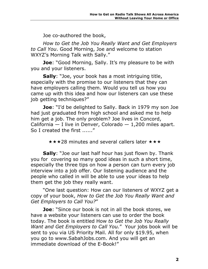Joe co-authored the book,

*How to Get the Job You Really Want and Get Employers to Call You*. Good Morning, Joe and welcome to station WXYZ's Morning Talk with Sally."

**Joe**: "Good Morning, Sally. It's my pleasure to be with you and your listeners.

**Sally**: "Joe, your book has a most intriguing title, especially with the promise to our listeners that they can have employers calling them. Would you tell us how you came up with this idea and how our listeners can use these job getting techniques?"

**Joe**: "I'd be delighted to Sally. Back in 1979 my son Joe had just graduated from high school and asked me to help him get a job. The only problem? Joe lives in Concord, California  $-$  I live in Denver, Colorado  $-$  1,200 miles apart. So I created the first ......"

 $\star \star \star 28$  minutes and several callers later  $\star \star \star$ 

**Sally**: "Joe our last half hour has just flown by. Thank you for covering so many good ideas in such a short time, especially the three tips on how a person can turn every job interview into a job offer. Our listening audience and the people who called in will be able to use your ideas to help them get the job they really want.

"One last question: How can our listeners of WXYZ get a copy of your book, *How to Get the Job You Really Want and Get Employers to Call You?*"

**Joe**: "Since our book is not in all the book stores, we have a website your listeners can use to order the book today. The book is entitled How *to Get the Job You Really Want and Get Employers to Call You.*" Your jobs book will be sent to you via US Priority Mail. All for only \$19.95, when you go to www.SabahJobs.com. And you will get an immediate download of the E-Book!"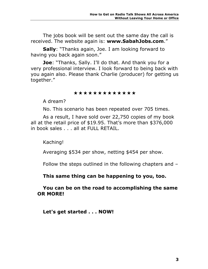The jobs book will be sent out the same day the call is received. The website again is: **www.SabahJobs.com**."

**Sally**: "Thanks again, Joe. I am looking forward to having you back again soon."

**Joe**: "Thanks, Sally. I'll do that. And thank you for a very professional interview. I look forward to being back with you again also. Please thank Charlie (producer) for getting us together."

#### \*\*\*\*\*\*\*\*\*\*\*\*

A dream?

No. This scenario has been repeated over 705 times.

As a result, I have sold over 22,750 copies of my book all at the retail price of \$19.95. That's more than \$376,000 in book sales . . . all at FULL RETAIL.

Kaching!

Averaging \$534 per show, netting \$454 per show.

Follow the steps outlined in the following chapters and –

**This same thing can be happening to you, too.**

**You can be on the road to accomplishing the same OR MORE!**

**Let's get started . . . NOW!**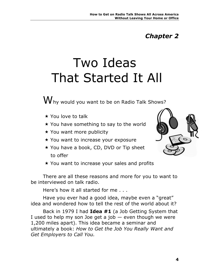# *Chapter 2*

# Two Ideas That Started It All

 $\mathbf W$ hy would you want to be on Radio Talk Shows?

- $\star$  You love to talk
- $\star$  You have something to say to the world
- $\star$  You want more publicity
- $\star$  You want to increase your exposure
- $\star$  You have a book, CD, DVD or Tip sheet to offer



 $\star$  You want to increase your sales and profits

There are all these reasons and more for you to want to be interviewed on talk radio.

Here's how it all started for me . . .

Have you ever had a good idea, maybe even a "great" idea and wondered how to tell the rest of the world about it?

Back in 1979 I had **Idea #1** (a Job Getting System that I used to help my son Joe get a job  $-$  even though we were 1,200 miles apart). This idea became a seminar and ultimately a book: *How to Get the Job You Really Want and Get Employers to Call You.*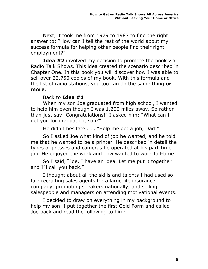Next, it took me from 1979 to 1987 to find the right answer to: "How can I tell the rest of the world about my success formula for helping other people find their right employment?"

**Idea #2** involved my decision to promote the book via Radio Talk Shows. This idea created the scenario described in Chapter One. In this book you will discover how I was able to sell over 22,750 copies of my book. With this formula and the list of radio stations, you too can do the same thing **or more**.

#### Back to **Idea #1**:

When my son Joe graduated from high school, I wanted to help him even though I was 1,200 miles away. So rather than just say "Congratulations!" I asked him: "What can I get you for graduation, son?"

He didn't hesitate . . . "Help me get a job, Dad!"

So I asked Joe what kind of job he wanted, and he told me that he wanted to be a printer. He described in detail the types of presses and cameras he operated at his part-time job. He enjoyed the work and now wanted to work full-time.

So I said, "Joe, I have an idea. Let me put it together and I'll call you back."

I thought about all the skills and talents I had used so far: recruiting sales agents for a large life insurance company, promoting speakers nationally, and selling salespeople and managers on attending motivational events.

I decided to draw on everything in my background to help my son. I put together the first Gold Form and called Joe back and read the following to him: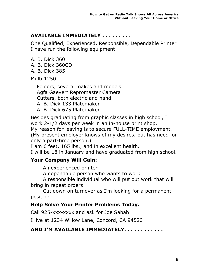### **AVAILABLE IMMEDIATELY . . . . . . . . .**

One Qualified, Experienced, Responsible, Dependable Printer I have run the following equipment:

A. B. Dick 360

- A. B. Dick 360CD
- A. B. Dick 385

Multi 1250

Folders, several makes and models Agfa Gaevert Repromaster Camera Cutters, both electric and hand A. B. Dick 133 Platemaker A. B. Dick 675 Platemaker

Besides graduating from graphic classes in high school, I work 2-1/2 days per week in an in-house print shop. My reason for leaving is to secure FULL-TIME employment. (My present employer knows of my desires, but has need for

only a part-time person.)

I am 6 feet, 165 lbs., and in excellent health.

I will be 18 in January and have graduated from high school.

### **Your Company Will Gain:**

An experienced printer

A dependable person who wants to work

A responsible individual who will put out work that will bring in repeat orders

Cut down on turnover as I'm looking for a permanent position

### **Help Solve Your Printer Problems Today.**

Call 925-xxx-xxxx and ask for Joe Sabah

I live at 1234 Willow Lane, Concord, CA 94520

### **AND I'M AVAILABLE IMMEDIATELY. . . . . . . . . . . .**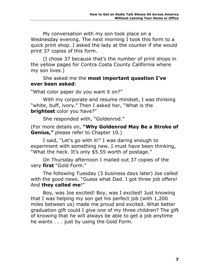My conversation with my son took place on a Wednesday evening. The next morning I took this form to a quick print shop. I asked the lady at the counter if she would print 37 copies of this form.

(I chose 37 because that's the number of print shops in the yellow pages for Contra Costa County California where my son lives.)

She asked me the **most important question I've ever been asked**:

"What color paper do you want it on?"

With my corporate and resume mindset, I was thinking "white, buff, ivory." Then I asked her, "What is the **brightest** color you have?"

She responded with, "Goldenrod."

(For more details on, **"Why Goldenrod May Be a Stroke of Genius,"** please refer to Chapter 10.)

I said, "Let's go with it!" I was daring enough to experiment with something new. I must have been thinking, "What the heck. It's only \$5.55 worth of postage."

On Thursday afternoon I mailed out 37 copies of the very **first** "Gold Form."

The following Tuesday (3 business days later) Joe called with the good news. "Guess what Dad. I got three job offers! And **they called me**!"

Boy, was Joe excited! Boy, was I excited! Just knowing that I was helping my son get his perfect job (with 1,200 miles between us) made me proud and excited. What better graduation gift could I give one of my three children? The gift of knowing that he will always be able to get a job anytime he wants . . . just by using the Gold Form.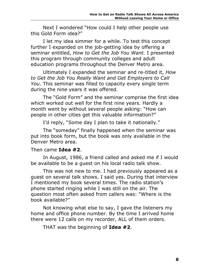Next I wondered "How could I help other people use this Gold Form idea?"

I let my idea simmer for a while. To test this concept further I expanded on the job-getting idea by offering a seminar entitled, *How to Get the Job You Want.* I presented this program through community colleges and adult education programs throughout the Denver Metro area.

Ultimately I expanded the seminar and re-titled it, *How to Get the Job You Really Want and Get Employers to Call You*. This seminar was filled to capacity every single term during the nine years it was offered.

The "Gold Form" and the seminar comprise the first idea which worked out well for the first nine years. Hardly a month went by without several people asking: "How can people in other cities get this valuable information?"

I'd reply, "Some day I plan to take it nationally."

The "someday" finally happened when the seminar was put into book form, but the book was only available in the Denver Metro area.

### Then came **Idea #2**.

In August, 1986, a friend called and asked me if I would be available to be a guest on his local radio talk show.

This was not new to me. I had previously appeared as a guest on several talk shows. I said yes. During that interview I mentioned my book several times. The radio station's phone started ringing while I was still on the air. The question most often asked from callers was: "Where is the book available?"

Not knowing what else to say, I gave the listeners my home and office phone number. By the time I arrived home there were 12 calls on my recorder, ALL of them orders.

THAT was the beginning of **Idea #2**.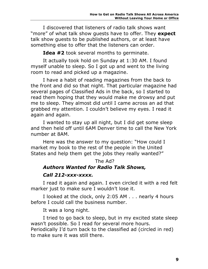I discovered that listeners of radio talk shows want "more" of what talk show guests have to offer. They **expect**  talk show guests to be published authors, or at least have something else to offer that the listeners can order.

**Idea #2** took several months to germinate.

It actually took hold on Sunday at 1:30 AM. I found myself unable to sleep. So I got up and went to the living room to read and picked up a magazine.

I have a habit of reading magazines from the back to the front and did so that night. That particular magazine had several pages of Classified Ads in the back, so I started to read them hoping that they would make me drowsy and put me to sleep. They almost did until I came across an ad that grabbed my attention. I couldn't believe my eyes. I read it again and again.

I wanted to stay up all night, but I did get some sleep and then held off until 6AM Denver time to call the New York number at 8AM.

Here was the answer to my question: "How could I market my book to the rest of the people in the United States and help them get the jobs they really wanted?"

### The Ad? *Authors Wanted for Radio Talk Shows, Call 212-xxx-xxxx.*

I read it again and again. I even circled it with a red felt marker just to make sure I wouldn't lose it.

I looked at the clock, only 2:05 AM . . . nearly 4 hours before I could call the business number.

It was a long night.

I tried to go back to sleep, but in my excited state sleep wasn't possible. So I read for several more hours. Periodically I'd turn back to the classified ad (circled in red) to make sure it was still there.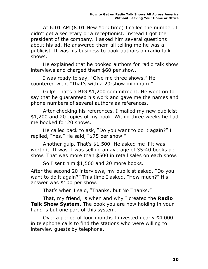At 6:01 AM (8:01 New York time) I called the number. I didn't get a secretary or a receptionist. Instead I got the president of the company. I asked him several questions about his ad. He answered them all telling me he was a publicist. It was his business to book authors on radio talk shows.

He explained that he booked authors for radio talk show interviews and charged them \$60 per show.

I was ready to say, "Give me three shows." He countered with, "That's with a 20-show minimum."

Gulp! That's a BIG \$1,200 commitment. He went on to say that he guaranteed his work and gave me the names and phone numbers of several authors as references.

After checking his references, I mailed my new publicist \$1,200 and 20 copies of my book. Within three weeks he had me booked for 20 shows.

He called back to ask, "Do you want to do it again?" I replied, "Yes." He said, "\$75 per show."

Another gulp. That's \$1,500! He asked me if it was worth it. It was. I was selling an average of 35-40 books per show. That was more than \$500 in retail sales on each show.

So I sent him \$1,500 and 20 more books.

After the second 20 interviews, my publicist asked, "Do you want to do it again?" This time I asked, "How much?" His answer was \$100 per show.

That's when I said, "Thanks, but No Thanks."

That, my friend, is when and why I created the **Radio Talk Show System**. The book you are now holding in your hand is but one part of this system.

Over a period of four months I invested nearly \$4,000 in telephone calls to find the stations who were willing to interview guests by telephone.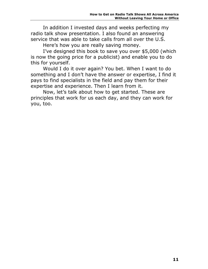In addition I invested days and weeks perfecting my radio talk show presentation. I also found an answering service that was able to take calls from all over the U.S.

Here's how you are really saving money.

I've designed this book to save you over \$5,000 (which is now the going price for a publicist) and enable you to do this for yourself.

Would I do it over again? You bet. When I want to do something and I don't have the answer or expertise, I find it pays to find specialists in the field and pay them for their expertise and experience. Then I learn from it.

Now, let's talk about how to get started. These are principles that work for us each day, and they can work for you, too.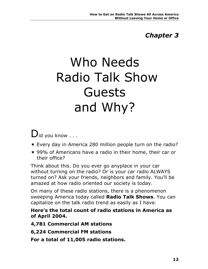# *Chapter 3*

# Who Needs Radio Talk Show Guests and Why?

 $\mathbf{D}_{\text{id}}$  you know  $\dots$ 

- $\star$  Every day in America 280 million people turn on the radio?
- $\star$  99% of Americans have a radio in their home, their car or their office?

Think about this. Do you ever go anyplace in your car without turning on the radio? Or is your car radio ALWAYS turned on? Ask your friends, neighbors and family. You'll be amazed at how radio oriented our society is today.

On many of these radio stations, there is a phenomenon sweeping America today called **Radio Talk Shows**. You can capitalize on the talk radio trend as easily as I have.

#### **Here's the total count of radio stations in America as of April 2004.**

**4,781 Commercial AM stations**

**6,224 Commercial FM stations**

**For a total of 11,005 radio stations.**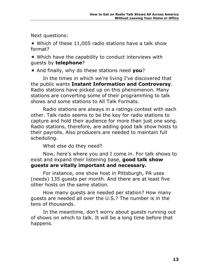Next questions:

 $\star$  Which of these 11,005 radio stations have a talk show format?

 $\star$  Which have the capability to conduct interviews with guests by **telephone**?

\* And finally, why do these stations need you?

In the times in which we're living I've discovered that the public wants **Instant Information and Controversy**. Radio stations have picked up on this phenomenon. Many stations are converting some of their programming to talk shows and some stations to All Talk Formats.

Radio stations are always in a ratings contest with each other. Talk radio seems to be the key for radio stations to capture and hold their audience for more than just one song. Radio stations, therefore, are adding good talk show hosts to their payrolls. Also producers are needed to maintain full scheduling.

What else do they need?

Now, here's where you and I come in. For talk shows to exist and expand their listening base, **good talk show guests are vitally important and necessary.**

For instance, one show host in Pittsburgh, PA uses (needs) 135 guests per month. And there are at least five other hosts on the same station.

How many guests are needed per station? How many guests are needed all over the U.S.? The number is in the tens of thousands.

In the meantime, don't worry about guests running out of shows on which to talk. It will be a long time before that happens.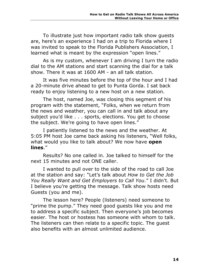To illustrate just how important radio talk show guests are, here's an experience I had on a trip to Florida where I was invited to speak to the Florida Publishers Association, I learned what is meant by the expression "open lines."

As is my custom, whenever I am driving I turn the radio dial to the AM stations and start scanning the dial for a talk show. There it was at 1600 AM - an all talk station.

It was five minutes before the top of the hour and I had a 20-minute drive ahead to get to Punta Gorda. I sat back ready to enjoy listening to a new host on a new station.

The host, named Joe, was closing this segment of his program with the statement, "Folks, when we return from the news and weather, you can call in and talk about any subject you'd like . . . sports, elections. You get to choose the subject. We're going to have open lines."

I patiently listened to the news and the weather. At 5:05 PM host Joe came back asking his listeners, "Well folks, what would you like to talk about? We now have **open lines**."

Results? No one called in. Joe talked to himself for the next 15 minutes and not ONE caller.

I wanted to pull over to the side of the road to call Joe at the station and say: "Let's talk about *How to Get the Job You Really Want and Get Employers to Call You*." I didn't. But I believe you're getting the message. Talk show hosts need Guests (you and me).

The lesson here? People (listeners) need someone to "prime the pump." They need good guests like you and me to address a specific subject. Then everyone's job becomes easier. The host or hostess has someone with whom to talk. The listeners can then relate to a specific topic. The guest also benefits with an almost unlimited audience.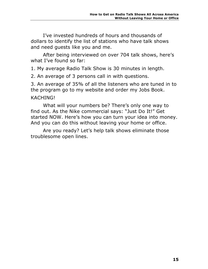I've invested hundreds of hours and thousands of dollars to identify the list of stations who have talk shows and need guests like you and me.

After being interviewed on over 704 talk shows, here's what I've found so far:

1. My average Radio Talk Show is 30 minutes in length.

2. An average of 3 persons call in with questions.

3. An average of 35% of all the listeners who are tuned in to the program go to my website and order my Jobs Book.

#### **KACHING!**

What will your numbers be? There's only one way to find out. As the Nike commercial says: "Just Do It!" Get started NOW. Here's how you can turn your idea into money. And you can do this without leaving your home or office.

Are you ready? Let's help talk shows eliminate those troublesome open lines.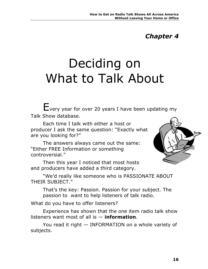### *Chapter 4*

# Deciding on What to Talk About

Every year for over 20 years I have been updating my Talk Show database.

Each time I talk with either a host or producer I ask the same question: "Exactly what are you looking for?"

The answers always came out the same: "Either FREE Information or something controversial."

Then this year I noticed that most hosts and producers have added a third category.



"We'd really like someone who is PASSIONATE ABOUT THEIR SUBJECT."

That's the key: Passion. Passion for your subject. The passion to want to help listeners of talk radio.

What do you have to offer listeners?

Experience has shown that the one item radio talk show listeners want most of all is — **information**.

You read it right — INFORMATION on a whole variety of subjects.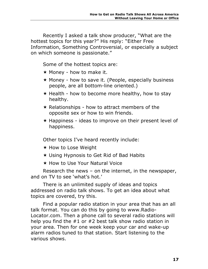Recently I asked a talk show producer, "What are the hottest topics for this year?" His reply: "Either Free Information, Something Controversial, or especially a subject on which someone is passionate."

Some of the hottest topics are:

- $\star$  Money how to make it.
- $\star$  Money how to save it. (People, especially business people, are all bottom-line oriented.)
- $\star$  Health how to become more healthy, how to stay healthy.
- $\star$  Relationships how to attract members of the opposite sex or how to win friends.
- $\star$  Happiness ideas to improve on their present level of happiness.

Other topics I've heard recently include:

- $\star$  How to Lose Weight
- $\star$  Using Hypnosis to Get Rid of Bad Habits
- $\star$  How to Use Your Natural Voice

Research the news – on the internet, in the newspaper, and on TV to see 'what's hot.'

There is an unlimited supply of ideas and topics addressed on radio talk shows. To get an idea about what topics are covered, try this.

Find a popular radio station in your area that has an all talk format. You can do this by going to www.Radio-Locator.com. Then a phone call to several radio stations will help you find the #1 or #2 best talk show radio station in your area. Then for one week keep your car and wake-up alarm radios tuned to that station. Start listening to the various shows.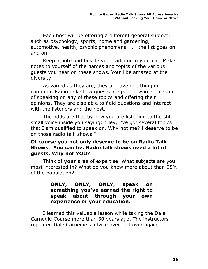Each host will be offering a different general subject; such as psychology, sports, home and gardening, automotive, health, psychic phenomena . . . the list goes on and on.

Keep a note pad beside your radio or in your car. Make notes to yourself of the names and topics of the various guests you hear on these shows. You'll be amazed at the diversity.

As varied as they are, they all have one thing in common. Radio talk show guests are people who are capable of speaking on any of these topics and offering their opinions. They are also able to field questions and interact with the listeners and the host.

The odds are that by now you are listening to the still small voice inside you saying: "Hey, I've got several topics that I am qualified to speak on. Why not me? I deserve to be on those radio talk shows!"

### **Of course you not only deserve to be on Radio Talk Shows. You can be. Radio talk shows need a lot of guests. Why not YOU?**

Think of **your** area of expertise. What subjects are you most interested in? What do you know more about than 95% of the population?

> **ONLY, ONLY, ONLY, speak on something you've earned the right to speak about through your own experience or your education.**

I learned this valuable lesson while taking the Dale Carnegie Course more than 30 years ago. The instructors repeated Dale Carnegie's advice over and over again.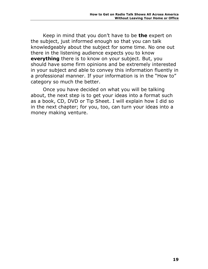Keep in mind that you don't have to be **the** expert on the subject, just informed enough so that you can talk knowledgeably about the subject for some time. No one out there in the listening audience expects you to know **everything** there is to know on your subject. But, you should have some firm opinions and be extremely interested in your subject and able to convey this information fluently in a professional manner. If your information is in the "How to" category so much the better.

Once you have decided on what you will be talking about, the next step is to get your ideas into a format such as a book, CD, DVD or Tip Sheet. I will explain how I did so in the next chapter; for you, too, can turn your ideas into a money making venture.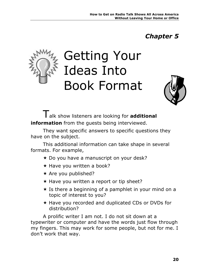### *Chapter 5*



# Getting Your Ideas Into Book Format



Talk show listeners are looking for **additional information** from the guests being interviewed.

They want specific answers to specific questions they have on the subject.

This additional information can take shape in several formats. For example,

- $\star$  Do you have a manuscript on your desk?
- $\star$  Have you written a book?
- $\star$  Are you published?
- $\star$  Have you written a report or tip sheet?
- $\star$  Is there a beginning of a pamphlet in your mind on a topic of interest to you?
- $\star$  Have you recorded and duplicated CDs or DVDs for distribution?

A prolific writer I am not. I do not sit down at a typewriter or computer and have the words just flow through my fingers. This may work for some people, but not for me. I don't work that way.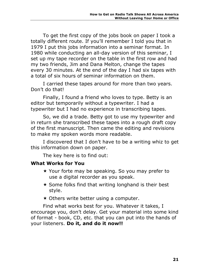To get the first copy of the jobs book on paper I took a totally different route. If you'll remember I told you that in 1979 I put this jobs information into a seminar format. In 1980 while conducting an all-day version of this seminar, I set up my tape recorder on the table in the first row and had my two friends, Jim and Dana Melton, change the tapes every 30 minutes. At the end of the day I had six tapes with a total of six hours of seminar information on them.

I carried these tapes around for more than two years. Don't do that!

Finally, I found a friend who loves to type. Betty is an editor but temporarily without a typewriter. I had a typewriter but I had no experience in transcribing tapes.

So, we did a trade. Betty got to use my typewriter and in return she transcribed these tapes into a rough draft copy of the first manuscript. Then came the editing and revisions to make my spoken words more readable.

I discovered that I don't have to be a writing whiz to get this information down on paper.

The key here is to find out:

### **What Works for You**

- $\star$  Your forte may be speaking. So you may prefer to use a digital recorder as you speak.
- $\star$  Some folks find that writing longhand is their best style.
- $\star$  Others write better using a computer.

Find what works best for you. Whatever it takes, I encourage you, don't delay. Get your material into some kind of format - book, CD, etc. that you can put into the hands of your listeners. **Do it, and do it now!!**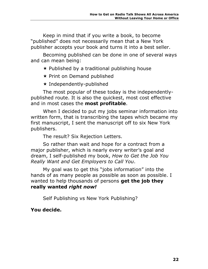Keep in mind that if you write a book, to become "published" does not necessarily mean that a New York publisher accepts your book and turns it into a best seller.

Becoming published can be done in one of several ways and can mean being:

- $\star$  Published by a traditional publishing house
- $\star$  Print on Demand published
- $\star$  Independently-published

The most popular of these today is the independentlypublished route. It is also the quickest, most cost effective and in most cases the **most profitable**.

When I decided to put my jobs seminar information into written form, that is transcribing the tapes which became my first manuscript, I sent the manuscript off to six New York publishers.

The result? Six Rejection Letters.

So rather than wait and hope for a contract from a major publisher, which is nearly every writer's goal and dream, I self-published my book, *How to Get the Job You Really Want and Get Employers to Call You*.

My goal was to get this "jobs information" into the hands of as many people as possible as soon as possible. I wanted to help thousands of persons **get the job they really wanted** *right now!* 

Self Publishing vs New York Publishing?

### **You decide.**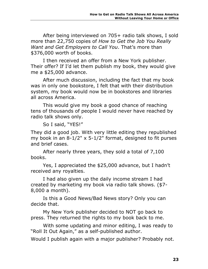After being interviewed on 705+ radio talk shows, I sold more than 22,750 copies of *How to Get the Job You Really Want and Get Employers to Call You*. That's more than \$376,000 worth of books.

I then received an offer from a New York publisher. Their offer? If I'd let them publish my book, they would give me a \$25,000 advance.

After much discussion, including the fact that my book was in only one bookstore, I felt that with their distribution system, my book would now be in bookstores and libraries all across America.

This would give my book a good chance of reaching tens of thousands of people I would never have reached by radio talk shows only.

So I said, "YES!"

They did a good job. With very little editing they republished my book in an 8-1/2" x 5-1/2" format, designed to fit purses and brief cases.

After nearly three years, they sold a total of 7,100 books.

Yes, I appreciated the \$25,000 advance, but I hadn't received any royalties.

I had also given up the daily income stream I had created by marketing my book via radio talk shows. (\$7- 8,000 a month).

Is this a Good News/Bad News story? Only you can decide that.

My New York publisher decided to NOT go back to press. They returned the rights to my book back to me.

With some updating and minor editing, I was ready to "Roll It Out Again," as a self-published author.

Would I publish again with a major publisher? Probably not.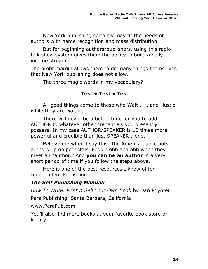New York publishing certainly may fit the needs of authors with name recognition and mass distribution.

But for beginning authors/publishers, using this radio talk show system gives them the ability to build a daily income stream.

The profit margin allows them to do many things themselves that New York publishing does not allow.

The three magic words in my vocabulary?

### **Test • Test • Test**

All good things come to those who Wait . . . and Hustle while they are waiting.

There will never be a better time for you to add AUTHOR to whatever other credentials you presently possess. In my case AUTHOR/SPEAKER is 10 times more powerful and credible than just SPEAKER alone.

Believe me when I say this. The America public puts authors up on pedestals. People ohh and ahh when they meet an "author." And **you can be an author** in a very short period of time if you follow the steps above.

Here is one of the best resources I know of for Independent Publishing:

### *The Self Publishing Manual:*

*How To Write, Print & Sell Your Own Book* by Dan Poynter

Para Publishing, Santa Barbara, California

www.ParaPub.com

You'll also find more books at your favorite book store or library.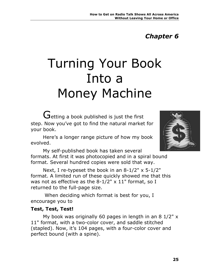# *Chapter 6*

# Turning Your Book Into a Money Machine

Getting a book published is just the first step. Now you've got to find the natural market for your book.

Here's a longer range picture of how my book evolved.

My self-published book has taken several formats. At first it was photocopied and in a spiral bound format. Several hundred copies were sold that way.

Next, I re-typeset the book in an 8-1/2" x 5-1/2" format. A limited run of these quickly showed me that this was not as effective as the 8-1/2" x 11" format, so I returned to the full-page size.

When deciding which format is best for you, I encourage you to

### **Test, Test, Test!**

My book was originally 60 pages in length in an 8 1/2" x 11" format, with a two-color cover, and saddle stitched (stapled). Now, it's 104 pages, with a four-color cover and perfect bound (with a spine).

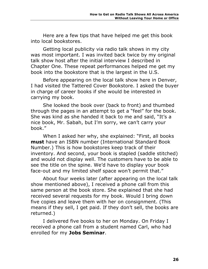Here are a few tips that have helped me get this book into local bookstores.

Getting local publicity via radio talk shows in my city was most important. I was invited back twice by my original talk show host after the initial interview I described in Chapter One. These repeat performances helped me get my book into the bookstore that is the largest in the U.S.

Before appearing on the local talk show here in Denver, I had visited the Tattered Cover Bookstore. I asked the buyer in charge of career books if she would be interested in carrying my book.

She looked the book over (back to front) and thumbed through the pages in an attempt to get a "feel" for the book. She was kind as she handed it back to me and said, "It's a nice book, Mr. Sabah, but I'm sorry, we can't carry your book."

When I asked her why, she explained: "First, all books **must** have an ISBN number (International Standard Book Number.) This is how bookstores keep track of their inventory. And second, your book is stapled (saddle stitched) and would not display well. The customers have to be able to see the title on the spine. We'd have to display your book face-out and my limited shelf space won't permit that."

About four weeks later (after appearing on the local talk show mentioned above), I received a phone call from this same person at the book store. She explained that she had received several requests for my book. Would I bring down five copies and leave them with her on consignment. (This means if they sell, I get paid. If they don't sell, the books are returned.)

I delivered five books to her on Monday. On Friday I received a phone call from a student named Carl, who had enrolled for my **Jobs Seminar**.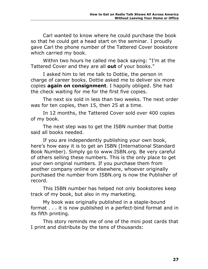Carl wanted to know where he could purchase the book so that he could get a head start on the seminar. I proudly gave Carl the phone number of the Tattered Cover bookstore which carried my book.

Within two hours he called me back saying: "I'm at the Tattered Cover and they are all **out** of your books."

I asked him to let me talk to Dottie, the person in charge of career books. Dottie asked me to deliver six more copies **again on consignment**. I happily obliged. She had the check waiting for me for the first five copies.

The next six sold in less than two weeks. The next order was for ten copies, then 15, then 25 at a time.

In 12 months, the Tattered Cover sold over 400 copies of my book.

The next step was to get the ISBN number that Dottie said all books needed.

If you are independently publishing your own book, here's how easy it is to get an ISBN (International Standard Book Number). Simply go to www.ISBN.org. Be very careful of others selling these numbers. This is the only place to get your own original numbers. If you purchase them from another company online or elsewhere, whoever originally purchased the number from ISBN.org is now the Publisher of record.

This ISBN number has helped not only bookstores keep track of my book, but also in my marketing.

My book was originally published in a staple-bound format . . . it is now published in a perfect-bind format and in its fifth printing.

This story reminds me of one of the mini post cards that I print and distribute by the tens of thousands: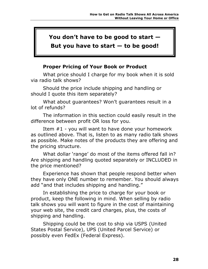### **You don't have to be good to start — But you have to start — to be good!**

### **Proper Pricing of Your Book or Product**

What price should I charge for my book when it is sold via radio talk shows?

Should the price include shipping and handling or should I quote this item separately?

What about guarantees? Won't guarantees result in a lot of refunds?

The information in this section could easily result in the difference between profit OR loss for you.

Item #1 - you will want to have done your homework as outlined above. That is, listen to as many radio talk shows as possible. Make notes of the products they are offering and the pricing structure.

What dollar 'range' do most of the items offered fall in? Are shipping and handling quoted separately or INCLUDED in the price mentioned?

Experience has shown that people respond better when they have only ONE number to remember. You should always add "and that includes shipping and handling."

In establishing the price to charge for your book or product, keep the following in mind. When selling by radio talk shows you will want to figure in the cost of maintaining your web site, the credit card charges, plus, the costs of shipping and handling.

Shipping could be the cost to ship via USPS (United States Postal Service), UPS (United Parcel Service) or possibly even FedEx (Federal Express).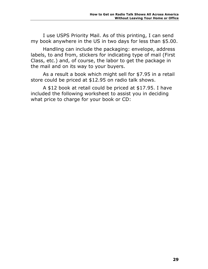I use USPS Priority Mail. As of this printing, I can send my book anywhere in the US in two days for less than \$5.00.

Handling can include the packaging: envelope, address labels, to and from, stickers for indicating type of mail (First Class, etc.) and, of course, the labor to get the package in the mail and on its way to your buyers.

As a result a book which might sell for \$7.95 in a retail store could be priced at \$12.95 on radio talk shows.

A \$12 book at retail could be priced at \$17.95. I have included the following worksheet to assist you in deciding what price to charge for your book or CD: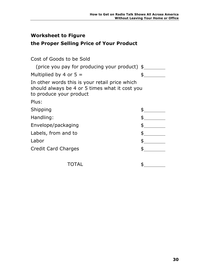### **Worksheet to Figure the Proper Selling Price of Your Product**

| Cost of Goods to be Sold                                                                                                    |    |
|-----------------------------------------------------------------------------------------------------------------------------|----|
| (price you pay for producing your product) $$$                                                                              |    |
| Multiplied by 4 or $5 =$                                                                                                    | \$ |
| In other words this is your retail price which<br>should always be 4 or 5 times what it cost you<br>to produce your product |    |
| Plus:                                                                                                                       |    |
| Shipping                                                                                                                    | \$ |
| Handling:                                                                                                                   | \$ |
| Envelope/packaging                                                                                                          | \$ |
| Labels, from and to                                                                                                         | \$ |
| Labor                                                                                                                       |    |
| <b>Credit Card Charges</b>                                                                                                  | \$ |
| 1()   A                                                                                                                     |    |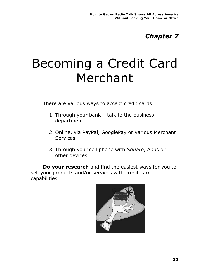# *Chapter 7*

# Becoming a Credit Card Merchant

There are various ways to accept credit cards:

- 1. Through your bank talk to the business department
- 2. Online, via PayPal, GooglePay or various Merchant Services
- 3. Through your cell phone with *Square*, Apps or other devices

**Do your research** and find the easiest ways for you to sell your products and/or services with credit card capabilities.

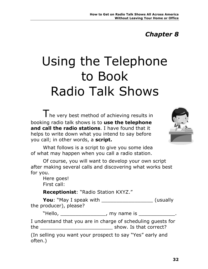## Using the Telephone to Book Radio Talk Shows

 $T_{he}$  very best method of achieving results in booking radio talk shows is to **use the telephone and call the radio stations**. I have found that it helps to write down what you intend to say before you call; in other words, a **script.**



What follows is a script to give you some idea of what may happen when you call a radio station.

Of course, you will want to develop your own script after making several calls and discovering what works best for you.

Here goes! First call:

**Receptionist**: "Radio Station KXYZ."

**You**: "May I speak with **You**: "May I speak with the producer), please?

"Hello, \_\_\_\_\_\_\_\_\_\_\_\_\_\_\_\_, my name is \_\_\_\_\_\_\_\_\_\_\_\_.

I understand that you are in charge of scheduling guests for the \_\_\_\_\_\_\_\_\_\_\_\_\_\_\_\_\_\_\_\_\_\_\_\_ show. Is that correct?

(In selling you want your prospect to say "Yes" early and often.)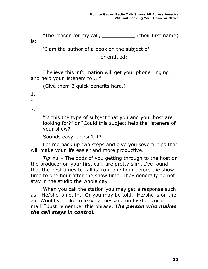"The reason for my call,  $\qquad \qquad$  (their first name)

is:

"I am the author of a book on the subject of

\_\_\_\_\_\_\_\_\_\_\_\_\_\_\_\_\_\_\_\_\_\_\_\_\_\_\_\_\_\_\_\_\_\_\_\_\_\_\_\_.

 $\blacksquare$  or entitled:  $\blacksquare$ 

I believe this information will get your phone ringing and help your listeners to ..."

(Give them 3 quick benefits here.)

| ┻  |  |  |        |                                                                                                                 |  |  |
|----|--|--|--------|-----------------------------------------------------------------------------------------------------------------|--|--|
| 2  |  |  |        |                                                                                                                 |  |  |
| 3. |  |  |        |                                                                                                                 |  |  |
|    |  |  | $\sim$ | the contract of the contract of the contract of the contract of the contract of the contract of the contract of |  |  |

"Is this the type of subject that you and your host are looking for?" or "Could this subject help the listeners of your show?"

```
Sounds easy, doesn't it?
```
Let me back up two steps and give you several tips that will make your life easier and more productive.

*Tip #1* – The odds of you getting through to the host or the producer on your first call, are pretty slim. I've found that the best times to call is from one hour before the show time to one hour after the show time. They generally do not stay in the studio the whole day

When you call the station you may get a response such as, "He/she is not in." Or you may be told, "He/she is on the air. Would you like to leave a message on his/her voice mail?" Just remember this phrase. *The person who makes the call stays in control.*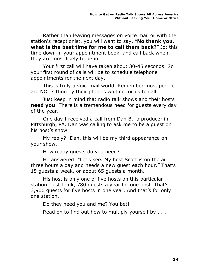Rather than leaving messages on voice mail or with the station's receptionist, you will want to say, "**No thank you, what is the best time for me to call them back?**" Jot this time down in your appointment book, and call back when they are most likely to be in.

Your first call will have taken about 30-45 seconds. So your first round of calls will be to schedule telephone appointments for the next day.

This is truly a voicemail world. Remember most people are NOT sitting by their phones waiting for us to call.

Just keep in mind that radio talk shows and their hosts **need you**! There is a tremendous need for guests every day of the year.

One day I received a call from Dan B., a producer in Pittsburgh, PA. Dan was calling to ask me to be a guest on his host's show.

My reply? "Dan, this will be my third appearance on your show.

How many guests do you need?"

He answered: "Let's see. My host Scott is on the air three hours a day and needs a new guest each hour." That's 15 guests a week, or about 65 guests a month.

His host is only one of five hosts on this particular station. Just think, 780 guests a year for one host. That's 3,900 guests for five hosts in one year. And that's for only one station.

Do they need you and me? You bet!

Read on to find out how to multiply yourself by . . .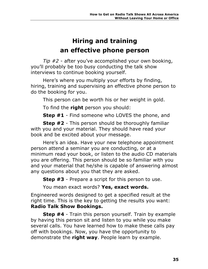## **Hiring and training an effective phone person**

*Tip #2* - after you've accomplished your own booking, you'll probably be too busy conducting the talk show interviews to continue booking yourself.

Here's where you multiply your efforts by finding, hiring, training and supervising an effective phone person to do the booking for you.

This person can be worth his or her weight in gold.

To find the **right** person you should:

**Step #1** - Find someone who LOVES the phone, and

**Step #2** - This person should be thoroughly familiar with you and your material. They should have read your book and be excited about your message.

Here's an idea. Have your new telephone appointment person attend a seminar you are conducting, or at a minimum read your book, or listen to the audio CD materials you are offering. This person should be so familiar with you and your material that he/she is capable of answering almost any questions about you that they are asked.

**Step #3** - Prepare a script for this person to use.

You mean exact words? **Yes, exact words.**

Engineered words designed to get a specified result at the right time. This is the key to getting the results you want: **Radio Talk Show Bookings.**

**Step #4** - Train this person yourself. Train by example by having this person sit and listen to you while you make several calls. You have learned how to make these calls pay off with bookings. Now, you have the opportunity to demonstrate the **right way**. People learn by example.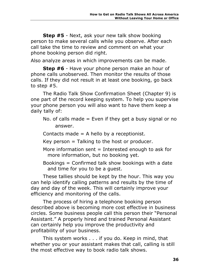**Step #5** - Next, ask your new talk show booking person to make several calls while you observe. After each call take the time to review and comment on what your phone booking person did right.

Also analyze areas in which improvements can be made.

**Step #6** - Have your phone person make an hour of phone calls unobserved. Then monitor the results of those calls. If they did not result in at least one booking, go back to step #5.

The Radio Talk Show Confirmation Sheet (Chapter 9) is one part of the record keeping system. To help you supervise your phone person you will also want to have them keep a daily tally of:

No. of calls made  $=$  Even if they get a busy signal or no answer.

Contacts made  $=$  A hello by a receptionist.

Key person  $=$  Talking to the host or producer.

More information sent  $=$  Interested enough to ask for more information, but no booking yet.

Bookings = Confirmed talk show bookings with a date and time for you to be a guest.

These tallies should be kept by the hour. This way you can help identify calling patterns and results by the time of day and day of the week. This will certainly improve your efficiency and monitoring of the calls.

The process of hiring a telephone booking person described above is becoming more cost effective in business circles. Some business people call this person their "Personal Assistant." A properly hired and trained Personal Assistant can certainly help you improve the productivity and profitability of your business.

This system works . . . if you do. Keep in mind, that whether you or your assistant makes that call, calling is still the most effective way to book radio talk shows.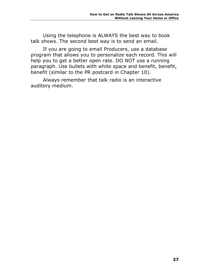Using the telephone is ALWAYS the best way to book talk shows. The second best way is to send an email.

If you are going to email Producers, use a database program that allows you to personalize each record. This will help you to get a better open rate. DO NOT use a running paragraph. Use bullets with white space and benefit, benefit, benefit (similar to the PR postcard in Chapter 10).

Always remember that talk radio is an interactive auditory medium.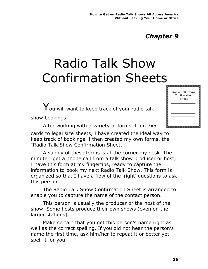## *Chapter 9*

## Radio Talk Show Confirmation Sheets

 $\mathbf Y$ ou will want to keep track of your radio talk show bookings.

After working with a variety of forms, from 3x5 cards to legal size sheets, I have created the ideal way to keep track of bookings. I then created my own forms, the "Radio Talk Show Confirmation Sheet."

A supply of these forms is at the corner my desk. The minute I get a phone call from a talk show producer or host, I have this form at my fingertips, ready to capture the information to book my next Radio Talk Show. This form is organized so that I have a flow of the 'right' questions to ask this person.

The Radio Talk Show Confirmation Sheet is arranged to enable you to capture the name of the contact person.

This person is usually the producer or the host of the show. Some hosts produce their own shows (even on the larger stations).

Make certain that you get this person's name right as well as the correct spelling. If you did not hear the person's name the first time, ask him/her to repeat it or better yet spell it for you.

| Radio Talk Show<br>Confirmation<br>Sheet |  |
|------------------------------------------|--|
|                                          |  |
|                                          |  |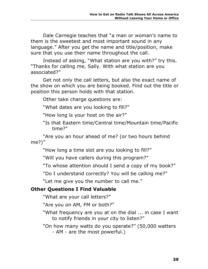Dale Carnegie teaches that "a man or woman's name to them is the sweetest and most important sound in any language." After you get the name and title/position, make sure that you use their name throughout the call.

Instead of asking, "What station are you with?" try this. "Thanks for calling me, Sally. With what station are you associated?"

Get not only the call letters, but also the exact name of the show on which you are being booked. Find out the title or position this person holds with that station.

Other take charge questions are:

"What dates are you looking to fill?"

"How long is your host on the air?"

"Is that Eastern time/Central time/Mountain time/Pacific time?"

"Are you an hour ahead of me? (or two hours behind me?)"

"How long a time slot are you looking to fill?"

"Will you have callers during this program?"

"To whose attention should I send a copy of my book?"

"Do I understand correctly? You will be calling me?"

"Let me give you the number to call me."

### **Other Questions I Find Valuable**

"What are your call letters?"

"Are you on AM, FM or both?"

"What frequency are you at on the dial ... in case I want to notify friends in your city to listen?"

"On how many watts do you operate?" (50,000 watters - AM - are the most powerful.)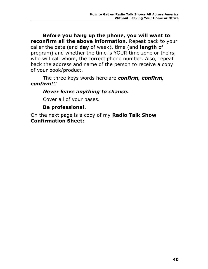**Before you hang up the phone, you will want to reconfirm all the above information.** Repeat back to your caller the date (and **day** of week), time (and **length** of program) and whether the time is YOUR time zone or theirs, who will call whom, the correct phone number. Also, repeat back the address and name of the person to receive a copy of your book/product.

The three keys words here are *confirm, confirm, confirm!!!*

#### *Never leave anything to chance.*

Cover all of your bases.

### **Be professional.**

On the next page is a copy of my **Radio Talk Show Confirmation Sheet:**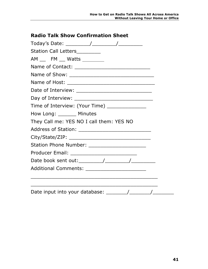| <b>Radio Talk Show Confirmation Sheet</b>      |  |  |  |  |  |  |  |  |
|------------------------------------------------|--|--|--|--|--|--|--|--|
|                                                |  |  |  |  |  |  |  |  |
| Station Call Letters________                   |  |  |  |  |  |  |  |  |
| AM __ FM __ Watts ________                     |  |  |  |  |  |  |  |  |
|                                                |  |  |  |  |  |  |  |  |
|                                                |  |  |  |  |  |  |  |  |
|                                                |  |  |  |  |  |  |  |  |
|                                                |  |  |  |  |  |  |  |  |
|                                                |  |  |  |  |  |  |  |  |
| Time of Interview: (Your Time) _______________ |  |  |  |  |  |  |  |  |
| How Long: _______ Minutes                      |  |  |  |  |  |  |  |  |
| They Call me: YES NO I call them: YES NO       |  |  |  |  |  |  |  |  |
|                                                |  |  |  |  |  |  |  |  |
|                                                |  |  |  |  |  |  |  |  |
|                                                |  |  |  |  |  |  |  |  |
|                                                |  |  |  |  |  |  |  |  |
|                                                |  |  |  |  |  |  |  |  |
|                                                |  |  |  |  |  |  |  |  |
|                                                |  |  |  |  |  |  |  |  |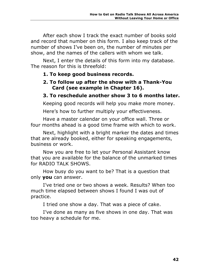After each show I track the exact number of books sold and record that number on this form. I also keep track of the number of shows I've been on, the number of minutes per show, and the names of the callers with whom we talk.

Next, I enter the details of this form into my database. The reason for this is threefold:

### **1. To keep good business records.**

### **2. To follow up after the show with a Thank-You Card (see example in Chapter 16).**

### **3. To reschedule another show 3 to 6 months later.**

Keeping good records will help you make more money.

Here's how to further multiply your effectiveness.

Have a master calendar on your office wall. Three or four months ahead is a good time frame with which to work.

Next, highlight with a bright marker the dates and times that are already booked, either for speaking engagements, business or work.

Now you are free to let your Personal Assistant know that you are available for the balance of the unmarked times for RADIO TALK SHOWS.

How busy do you want to be? That is a question that only **you** can answer.

I've tried one or two shows a week. Results? When too much time elapsed between shows I found I was out of practice.

I tried one show a day. That was a piece of cake.

I've done as many as five shows in one day. That was too heavy a schedule for me.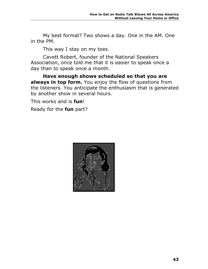My best format? Two shows a day. One in the AM. One in the PM.

This way I stay on my toes.

Cavett Robert, founder of the National Speakers Association, once told me that it is easier to speak once a day than to speak once a month.

**Have enough shows scheduled so that you are always in top form.** You enjoy the flow of questions from the listeners. You anticipate the enthusiasm that is generated by another show in several hours.

This works and is **fun**!

Ready for the **fun** part?

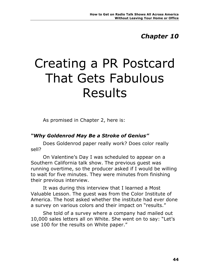## *Chapter 10*

## Creating a PR Postcard That Gets Fabulous Results

As promised in Chapter 2, here is:

#### *"Why Goldenrod May Be a Stroke of Genius"*

Does Goldenrod paper really work? Does color really sell?

On Valentine's Day I was scheduled to appear on a Southern California talk show. The previous guest was running overtime, so the producer asked if I would be willing to wait for five minutes. They were minutes from finishing their previous interview.

It was during this interview that I learned a Most Valuable Lesson. The guest was from the Color Institute of America. The host asked whether the institute had ever done a survey on various colors and their impact on "results."

She told of a survey where a company had mailed out 10,000 sales letters all on White. She went on to say: "Let's use 100 for the results on White paper."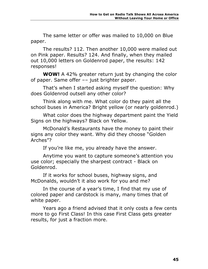The same letter or offer was mailed to 10,000 on Blue paper.

The results? 112. Then another 10,000 were mailed out on Pink paper. Results? 124. And finally, when they mailed out 10,000 letters on Goldenrod paper, the results: 142 responses!

**WOW!** A 42% greater return just by changing the color of paper. Same offer –– just brighter paper.

That's when I started asking myself the question: Why does Goldenrod outsell any other color?

Think along with me. What color do they paint all the school buses in America? Bright yellow (or nearly goldenrod.)

What color does the highway department paint the Yield Signs on the highways? Black on Yellow.

McDonald's Restaurants have the money to paint their signs any color they want. Why did they choose "Golden Arches"?

If you're like me, you already have the answer.

Anytime you want to capture someone's attention you use color; especially the sharpest contract - Black on Goldenrod.

If it works for school buses, highway signs, and McDonalds, wouldn't it also work for you and me?

In the course of a year's time, I find that my use of colored paper and cardstock is many, many times that of white paper.

Years ago a friend advised that it only costs a few cents more to go First Class! In this case First Class gets greater results, for just a fraction more.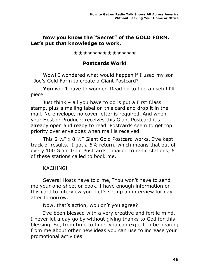**Now you know the "Secret" of the GOLD FORM. Let's put that knowledge to work.**

#### \*\*\*\*\*\*\*\*\*\*\*\*

#### **Postcards Work!**

Wow! I wondered what would happen if I used my son Joe's Gold Form to create a Giant Postcard?

**You** won't have to wonder. Read on to find a useful PR piece.

Just think – all you have to do is put a First Class stamp, plus a mailing label on this card and drop it in the mail. No envelope, no cover letter is required. And when your Host or Producer receives this Giant Postcard it's already open and ready to read. Postcards seem to get top priority over envelopes when mail is received.

This  $5 \frac{1}{2}$ " x  $8 \frac{1}{2}$ " Giant Gold Postcard works. I've kept track of results. I got a 6% return, which means that out of every 100 Giant Gold Postcards I mailed to radio stations, 6 of these stations called to book me.

#### KACHING!

Several Hosts have told me, "You won't have to send me your one-sheet or book. I have enough information on this card to interview you. Let's set up an interview for day after tomorrow."

Now, that's action, wouldn't you agree?

I've been blessed with a very creative and fertile mind. I never let a day go by without giving thanks to God for this blessing. So, from time to time, you can expect to be hearing from me about other new ideas you can use to increase your promotional activities.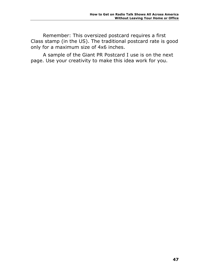Remember: This oversized postcard requires a first Class stamp (in the US). The traditional postcard rate is good only for a maximum size of 4x6 inches.

A sample of the Giant PR Postcard I use is on the next page. Use your creativity to make this idea work for you.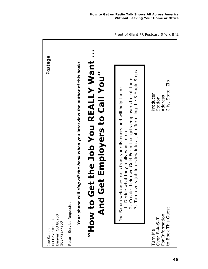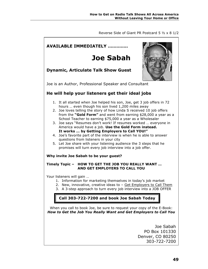Reverse Side of Giant PR Postcard 5 ½ x 8 1/2

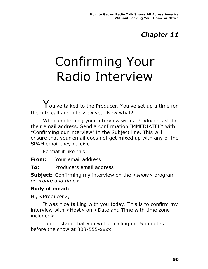## *Chapter 11*

## Confirming Your Radio Interview

 $\mathbf{Y}_{\mathsf{ou've}}$  talked to the Producer. You've set up a time for them to call and interview you. Now what?

When confirming your interview with a Producer, ask for their email address. Send a confirmation IMMEDIATELY with "Confirming our interview" in the Subject line. This will ensure that your email does not get mixed up with any of the SPAM email they receive.

Format it like this:

**From:** Your email address

**To:** Producers email address

**Subject:** Confirming my interview on the *<show>* program *on <date and time>*

### **Body of email:**

Hi, <Producer>,

It was nice talking with you today. This is to confirm my interview with <Host> on <Date and Time with time zone included>.

I understand that you will be calling me 5 minutes before the show at 303-555-xxxx.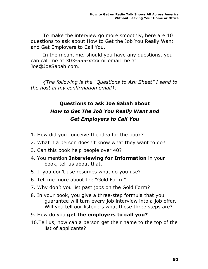To make the interview go more smoothly, here are 10 questions to ask about How to Get the Job You Really Want and Get Employers to Call You.

In the meantime, should you have any questions, you can call me at 303-555-xxxx or email me at Joe@JoeSabah.com.

*{The following is the "Questions to Ask Sheet" I send to the host in my confirmation email}:*

## **Questions to ask Joe Sabah about**  *How to Get The Job You Really Want and Get Employers to Call You*

- 1. How did you conceive the idea for the book?
- 2. What if a person doesn't know what they want to do?
- 3. Can this book help people over 40?
- 4. You mention **Interviewing for Information** in your book, tell us about that.
- 5. If you don't use resumes what do you use?
- 6. Tell me more about the "Gold Form."
- 7. Why don't you list past jobs on the Gold Form?
- 8. In your book, you give a three-step formula that you guarantee will turn every job interview into a job offer. Will you tell our listeners what those three steps are?
- 9. How do you **get the employers to call you?**
- 10.Tell us, how can a person get their name to the top of the list of applicants?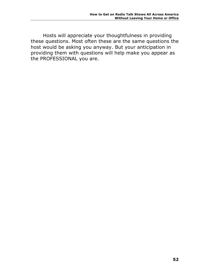Hosts will appreciate your thoughtfulness in providing these questions. Most often these are the same questions the host would be asking you anyway. But your anticipation in providing them with questions will help make you appear as the PROFESSIONAL you are.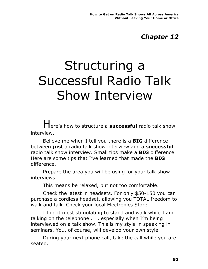## Structuring a Successful Radio Talk Show Interview

Here's how to structure a **successful** radio talk show interview.

Believe me when I tell you there is a **BIG** difference between **just** a radio talk show interview and a **successful**  radio talk show interview. Small tips make a **BIG** difference. Here are some tips that I've learned that made the **BIG**  difference.

Prepare the area you will be using for your talk show interviews.

This means be relaxed, but not too comfortable.

Check the latest in headsets. For only \$50-150 you can purchase a cordless headset, allowing you TOTAL freedom to walk and talk. Check your local Electronics Store.

I find it most stimulating to stand and walk while I am talking on the telephone . . . especially when I'm being interviewed on a talk show. This is my style in speaking in seminars. You, of course, will develop your own style.

During your next phone call, take the call while you are seated.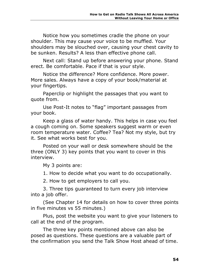Notice how you sometimes cradle the phone on your shoulder. This may cause your voice to be muffled. Your shoulders may be slouched over, causing your chest cavity to be sunken. Results? A less than effective phone call.

Next call: Stand up before answering your phone. Stand erect. Be comfortable. Pace if that is your style.

Notice the difference? More confidence. More power. More sales. Always have a copy of your book/material at your fingertips.

Paperclip or highlight the passages that you want to quote from.

Use Post-It notes to "flag" important passages from your book.

Keep a glass of water handy. This helps in case you feel a cough coming on. Some speakers suggest warm or even room temperature water. Coffee? Tea? Not my style, but try it. See what works best for you.

Posted on your wall or desk somewhere should be the three (ONLY 3) key points that you want to cover in this interview.

My 3 points are:

1. How to decide what you want to do occupationally.

2. How to get employers to call you.

3. Three tips guaranteed to turn every job interview into a job offer.

(See Chapter 14 for details on how to cover three points in five minutes vs 55 minutes.)

Plus, post the website you want to give your listeners to call at the end of the program.

The three key points mentioned above can also be posed as questions. These questions are a valuable part of the confirmation you send the Talk Show Host ahead of time.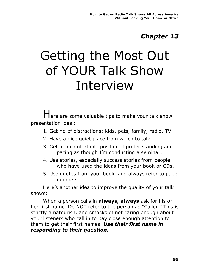## *Chapter 13*

## Getting the Most Out of YOUR Talk Show Interview

Here are some valuable tips to make your talk show presentation ideal:

- 1. Get rid of distractions: kids, pets, family, radio, TV.
- 2. Have a nice quiet place from which to talk.
- 3. Get in a comfortable position. I prefer standing and pacing as though I'm conducting a seminar.
- 4. Use stories, especially success stories from people who have used the ideas from your book or CDs.
- 5. Use quotes from your book, and always refer to page numbers.

Here's another idea to improve the quality of your talk shows:

When a person calls in **always, always** ask for his or her first name. Do NOT refer to the person as "Caller." This is strictly amateurish, and smacks of not caring enough about your listeners who call in to pay close enough attention to them to get their first names. *Use their first name in responding to their question.*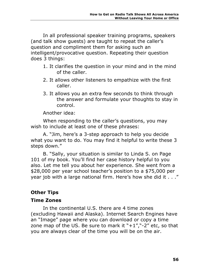In all professional speaker training programs, speakers (and talk show guests) are taught to repeat the caller's question and compliment them for asking such an intelligent/provocative question. Repeating their question does 3 things:

- 1. It clarifies the question in your mind and in the mind of the caller.
- 2. It allows other listeners to empathize with the first caller.
- 3. It allows you an extra few seconds to think through the answer and formulate your thoughts to stay in control.

Another idea:

When responding to the caller's questions, you may wish to include at least one of these phrases:

A. "Jim, here's a 3-step approach to help you decide what you want to do. You may find it helpful to write these 3 steps down."

B. "Sally, your situation is similar to Linda S. on Page 101 of my book. You'll find her case history helpful to you also. Let me tell you about her experience. She went from a \$28,000 per year school teacher's position to a \$75,000 per year job with a large national firm. Here's how she did it . . ."

## **Other Tips**

### **Time Zones**

In the continental U.S. there are 4 time zones (excluding Hawaii and Alaska). Internet Search Engines have an "Image" page where you can download or copy a time zone map of the US. Be sure to mark it " $+1$ "," $-2$ " etc, so that you are always clear of the time you will be on the air.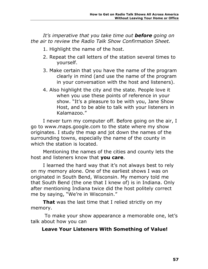*It's imperative that you take time out before going on the air to review the Radio Talk Show Confirmation Sheet.*

- 1. Highlight the name of the host.
- 2. Repeat the call letters of the station several times to yourself.
- 3. Make certain that you have the name of the program clearly in mind (and use the name of the program in your conversation with the host and listeners).
- 4. Also highlight the city and the state. People love it when you use these points of reference in your show. "It's a pleasure to be with you, Jane Show Host, and to be able to talk with your listeners in Kalamazoo."

I never turn my computer off. Before going on the air, I go to www.maps.google.com to the state where my show originates. I study the map and jot down the names of the surrounding towns, especially the name of the county in which the station is located.

Mentioning the names of the cities and county lets the host and listeners know that **you care**.

I learned the hard way that it's not always best to rely on my memory alone. One of the earliest shows I was on originated in South Bend, Wisconsin. My memory told me that South Bend (the one that I knew of) is in Indiana. Only after mentioning Indiana twice did the host politely correct me by saying, "We're in Wisconsin."

**That** was the last time that I relied strictly on my memory.

To make your show appearance a memorable one, let's talk about how you can

### **Leave Your Listeners With Something of Value!**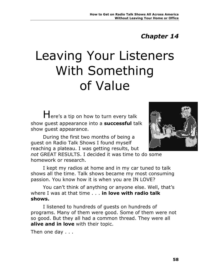## *Chapter 14*

## Leaving Your Listeners With Something of Value

Here's a tip on how to turn every talk show guest appearance into a **successful** talk show guest appearance.

During the first two months of being a guest on Radio Talk Shows I found myself reaching a plateau. I was getting results, but



*not* GREAT RESULTS. I decided it was time to do some homework or research. I kept my radios at home and in my car tuned to talk

shows all the time. Talk shows became my most consuming passion. You know how it is when you are IN LOVE?

You can't think of anything or anyone else. Well, that's where I was at that time . . . **in love with radio talk shows.**

I listened to hundreds of guests on hundreds of programs. Many of them were good. Some of them were not so good. But they all had a common thread. They were all **alive and in love** with their topic.

Then one day . . .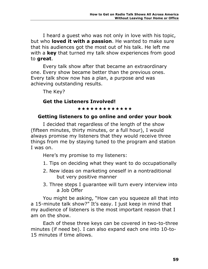I heard a guest who was not only in love with his topic, but who **loved it with a passion**. He wanted to make sure that his audiences got the most out of his talk. He left me with a **key** that turned my talk show experiences from good to **great**.

Every talk show after that became an extraordinary one. Every show became better than the previous ones. Every talk show now has a plan, a purpose and was achieving outstanding results.

The Key?

### **Get the Listeners Involved!**

\*\*\*\*\*\*\*\*\*\*\*\*

### **Getting listeners to go online and order your book**

I decided that regardless of the length of the show (fifteen minutes, thirty minutes, or a full hour), I would always promise my listeners that they would receive three things from me by staying tuned to the program and station I was on.

Here's my promise to my listeners:

- 1. Tips on deciding what they want to do occupationally
- 2. New ideas on marketing oneself in a nontraditional but very positive manner
- 3. Three steps I guarantee will turn every interview into a Job Offer

You might be asking, "How can you squeeze all that into a 15-minute talk show?" It's easy. I just keep in mind that my audience of listeners is the most important reason that I am on the show.

Each of these three keys can be covered in two-to-three minutes (if need be). I can also expand each one into 10-to-15 minutes if time allows.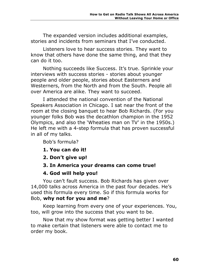The expanded version includes additional examples, stories and incidents from seminars that I've conducted.

Listeners love to hear success stories. They want to know that others have done the same thing, and that they can do it too.

Nothing succeeds like Success. It's true. Sprinkle your interviews with success stories - stories about younger people and older people, stories about Easterners and Westerners, from the North and from the South. People all over America are alike. They want to succeed.

I attended the national convention of the National Speakers Association in Chicago. I sat near the front of the room at the closing banquet to hear Bob Richards. (For you younger folks Bob was the decathlon champion in the 1952 Olympics, and also the 'Wheaties man on TV' in the 1950s.) He left me with a 4-step formula that has proven successful in all of my talks.

Bob's formula?

- **1. You can do it!**
- **2. Don't give up!**
- **3. In America your dreams can come true!**

#### **4. God will help you!**

You can't fault success. Bob Richards has given over 14,000 talks across America in the past four decades. He's used this formula every time. So if this formula works for Bob, **why not for you and me**?

Keep learning from every one of your experiences. You, too, will grow into the success that you want to be.

Now that my show format was getting better I wanted to make certain that listeners were able to contact me to order my book.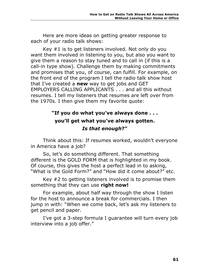Here are more ideas on getting greater response to each of your radio talk shows:

Key #1 is to get listeners involved. Not only do you want them involved in listening to you, but also you want to give them a reason to stay tuned and to call in (if this is a call-in type show). Challenge them by making commitments and promises that you, of course, can fulfill. For example, on the front end of the program I tell the radio talk show host that I've created a **new** way to get jobs and GET EMPLOYERS CALLING APPLICANTS . . . and all this without resumes. I tell my listeners that resumes are left over from the 1970s. I then give them my favorite quote:

## **"If you do what you've always done . . . you'll get what you've always gotten.** *Is that enough***?"**

Think about this: If resumes worked, wouldn't everyone in America have a job?

So, let's do something different. That something different is the GOLD FORM that is highlighted in my book. Of course, this gives the host a perfect lead in to asking, "What is the Gold Form?" and "How did it come about?" etc.

Key #2 to getting listeners involved is to promise them something that they can use **right now!**

For example, about half way through the show I listen for the host to announce a break for commercials. I then jump in with: "When we come back, let's ask my listeners to get pencil and paper.

I've got a 3-step formula I guarantee will turn every job interview into a job offer."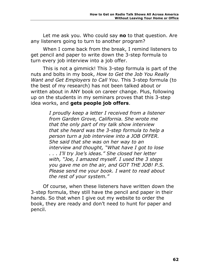Let me ask you. Who could say **no** to that question. Are any listeners going to turn to another program?

When I come back from the break, I remind listeners to get pencil and paper to write down the 3-step formula to turn every job interview into a job offer.

This is not a gimmick! This 3-step formula is part of the nuts and bolts in my book, *How to Get the Job You Really Want and Get Employers to Call You*. This 3-step formula (to the best of my research) has not been talked about or written about in ANY book on career change. Plus, following up on the students in my seminars proves that this 3-step idea works, and **gets people job offers**.

> *I proudly keep a letter I received from a listener from Garden Grove, California. She wrote me that the only part of my talk show interview that she heard was the 3-step formula to help a person turn a job interview into a JOB OFFER. She said that she was on her way to an interview and thought, "What have I got to lose . . . I'll try Joe's ideas." She closed her letter with, "Joe, I amazed myself. I used the 3 steps you gave me on the air, and GOT THE JOB! P.S. Please send me your book. I want to read about the rest of your system."*

Of course, when these listeners have written down the 3-step formula, they still have the pencil and paper in their hands. So that when I give out my website to order the book, they are ready and don't need to hunt for paper and pencil.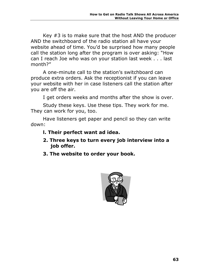Key #3 is to make sure that the host AND the producer AND the switchboard of the radio station all have your website ahead of time. You'd be surprised how many people call the station long after the program is over asking: "How can I reach Joe who was on your station last week . . . last month?"

A one-minute call to the station's switchboard can produce extra orders. Ask the receptionist if you can leave your website with her in case listeners call the station after you are off the air.

I get orders weeks and months after the show is over.

Study these keys. Use these tips. They work for me. They can work for you, too.

Have listeners get paper and pencil so they can write down:

#### **l. Their perfect want ad idea.**

- **2. Three keys to turn every job interview into a job offer.**
- **3. The website to order your book.**

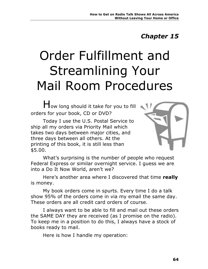## *Chapter 15*

## Order Fulfillment and Streamlining Your Mail Room Procedures

How long should it take for you to fill orders for your book, CD or DVD?

Today I use the U.S. Postal Service to ship all my orders via Priority Mail which takes two days between major cities, and three days between all others. At the printing of this book, it is still less than \$5.00.



What's surprising is the number of people who request Federal Express or similar overnight service. I guess we are into a Do It Now World, aren't we?

Here's another area where I discovered that time **really**  is money.

My book orders come in spurts. Every time I do a talk show 95% of the orders come in via my email the same day. These orders are all credit card orders of course.

I always want to be able to fill and mail out these orders the SAME DAY they are received (as I promise on the radio). To keep me in a position to do this, I always have a stock of books ready to mail.

Here is how I handle my operation: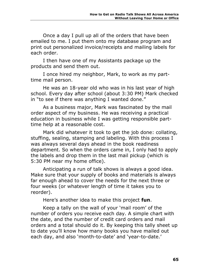Once a day I pull up all of the orders that have been emailed to me. I put them onto my database program and print out personalized invoice/receipts and mailing labels for each order.

I then have one of my Assistants package up the products and send them out.

I once hired my neighbor, Mark, to work as my parttime mail person.

He was an 18-year old who was in his last year of high school. Every day after school (about 3:30 PM) Mark checked in "to see if there was anything I wanted done."

As a business major, Mark was fascinated by the mail order aspect of my business. He was receiving a practical education in business while I was getting responsible parttime help at a reasonable cost.

Mark did whatever it took to get the job done: collating, stuffing, sealing, stamping and labeling. With this process I was always several days ahead in the book readiness department. So when the orders came in, I only had to apply the labels and drop them in the last mail pickup (which is 5:30 PM near my home office).

Anticipating a run of talk shows is always a good idea. Make sure that your supply of books and materials is always far enough ahead to cover the needs for the next three or four weeks (or whatever length of time it takes you to reorder).

Here's another idea to make this project **fun**.

Keep a tally on the wall of your 'mail room' of the number of orders you receive each day. A simple chart with the date, and the number of credit card orders and mail orders and a total should do it. By keeping this tally sheet up to date you'll know how many books you have mailed out each day, and also 'month-to-date' and 'year-to-date.'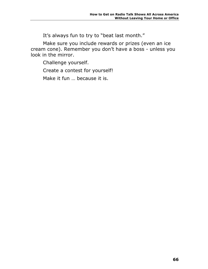It's always fun to try to "beat last month."

Make sure you include rewards or prizes (even an ice cream cone). Remember you don't have a boss - unless you look in the mirror.

Challenge yourself.

Create a contest for yourself!

Make it fun … because it is.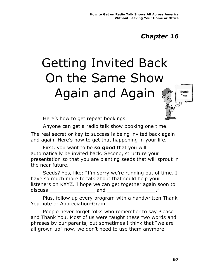# Getting Invited Back On the Same Show Again and Again



Here's how to get repeat bookings.

Anyone can get a radio talk show booking one time.

The real secret or key to success is being invited back again and again. Here's how to get that happening in your life.

First, you want to be **so good** that you will automatically be invited back. Second, structure your presentation so that you are planting seeds that will sprout in the near future.

Seeds? Yes, like: "I'm sorry we're running out of time. I have so much more to talk about that could help your listeners on KXYZ. I hope we can get together again soon to discuss \_\_\_\_\_\_\_\_\_\_\_\_\_\_\_ and \_\_\_\_\_\_\_\_\_\_\_\_\_\_\_\_."

Plus, follow up every program with a handwritten Thank You note or Appreciation-Gram.

People never forget folks who remember to say Please and Thank You. Most of us were taught these two words and phrases by our parents, but sometimes I think that "we are all grown up" now. we don't need to use them anymore.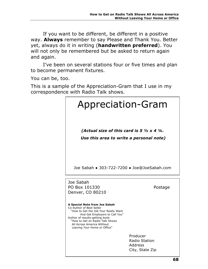If you want to be different, be different in a positive way. **Always** remember to say Please and Thank You. Better yet, always do it in writing (**handwritten preferred**). You will not only be remembered but be asked to return again and again.

I've been on several stations four or five times and plan to become permanent fixtures.

You can be, too.

This is a sample of the Appreciation-Gram that I use in my correspondence with Radio Talk shows.

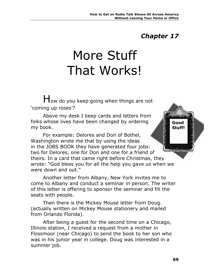# More Stuff That Works!

How do you keep going when things are not 'coming up roses'?

Above my desk I keep cards and letters from folks whose lives have been changed by ordering my book.

For example: Delores and Don of Bothel, Washington wrote me that by using the ideas in the JOBS BOOK they have generated four jobs: two for Delores, one for Don and one for a friend of theirs. In a card that came right before Christmas, they wrote: "God bless you for all the help you gave us when we were down and out."

Another letter from Albany, New York invites me to come to Albany and conduct a seminar in person. The writer of this letter is offering to sponsor the seminar and fill the seats with people.

Then there is the Mickey Mouse letter from Doug. (actually written on Mickey Mouse stationery and mailed from Orlando Florida).

After being a guest for the second time on a Chicago, Illinois station, I received a request from a mother in Flossmoor (near Chicago) to send the book to her son who was in his junior year in college. Doug was interested in a summer job.

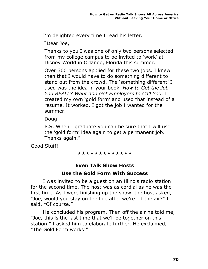I'm delighted every time I read his letter.

"Dear Joe,

Thanks to you I was one of only two persons selected from my college campus to be invited to 'work' at Disney World in Orlando, Florida this summer.

Over 300 persons applied for these two jobs. I knew then that I would have to do something different to stand out from the crowd. The 'something different' I used was the idea in your book, *How to Get the Job You REALLY Want and Get Employers to Call You.* I created my own 'gold form' and used that instead of a resume. It worked. I got the job I wanted for the summer.

Doug

P.S. When I graduate you can be sure that I will use the 'gold form' idea again to get a permanent job. Thanks again."

Good Stuff!

#### \*\*\*\*\*\*\*\*\*\*\*\*

# **Even Talk Show Hosts Use the Gold Form With Success**

I was invited to be a guest on an Illinois radio station for the second time. The host was as cordial as he was the first time. As I were finishing up the show, the host asked, "Joe, would you stay on the line after we're off the air?" I said, "Of course."

He concluded his program. Then off the air he told me, "Joe, this is the last time that we'll be together on this station." I asked him to elaborate further. He exclaimed, "The Gold Form works!"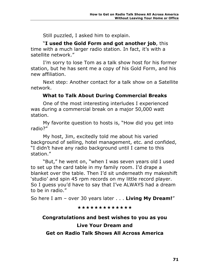Still puzzled, I asked him to explain.

"**I used the Gold Form and got another job**, this time with a much larger radio station. In fact, it's with a satellite network."

I'm sorry to lose Tom as a talk show host for his former station, but he has sent me a copy of his Gold Form, and his new affiliation.

Next step: Another contact for a talk show on a Satellite network.

## **What to Talk About During Commercial Breaks**

One of the most interesting interludes I experienced was during a commercial break on a major 50,000 watt station.

My favorite question to hosts is, "How did you get into radio?"

My host, Jim, excitedly told me about his varied background of selling, hotel management, etc. and confided, "I didn't have any radio background until I came to this station."

"But," he went on, "when I was seven years old I used to set up the card table in my family room. I'd drape a blanket over the table. Then I'd sit underneath my makeshift 'studio' and spin 45 rpm records on my little record player. So I guess you'd have to say that I've ALWAYS had a dream to be in radio."

So here I am – over 30 years later . . . **Living My Dream!**"

#### \*\*\*\*\*\*\*\*\*\*\*\*

# **Congratulations and best wishes to you as you Live Your Dream and**

**Get on Radio Talk Shows All Across America**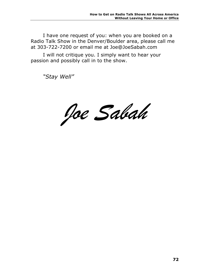I have one request of you: when you are booked on a Radio Talk Show in the Denver/Boulder area, please call me at 303-722-7200 or email me at Joe@JoeSabah.com

I will not critique you. I simply want to hear your passion and possibly call in to the show.

*"Stay Well"*

*Joe Sabah*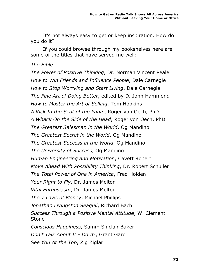It's not always easy to get or keep inspiration. How do you do it?

If you could browse through my bookshelves here are some of the titles that have served me well:

### *The Bible*

*The Power of Positive Thinking*, Dr. Norman Vincent Peale *How to Win Friends and Influence People*, Dale Carnegie *How to Stop Worrying and Start Living*, Dale Carnegie *The Fine Art of Doing Better*, edited by D. John Hammond *How to Master the Art of Selling*, Tom Hopkins *A Kick In the Seat of the Pants*, Roger von Oech, PhD *A Whack On the Side of the Head*, Roger von Oech, PhD *The Greatest Salesman in the World*, Og Mandino *The Greatest Secret in the World*, Og Mandino *The Greatest Success in the World*, Og Mandino *The University of Success*, Og Mandino *Human Engineering and Motivation*, Cavett Robert *Move Ahead With Possibility Thinking*, Dr. Robert Schuller *The Total Power of One in America*, Fred Holden *Your Right to Fly*, Dr. James Melton *Vital Enthusiasm*, Dr. James Melton *The 7 Laws of Money*, Michael Phillips *Jonathan Livingston Seagull*, Richard Bach *Success Through a Positive Mental Attitude*, W. Clement Stone *Conscious Happiness*, Samm Sinclair Baker *Don't Talk About It - Do It!*, Grant Gard *See You At the Top*, Zig Ziglar